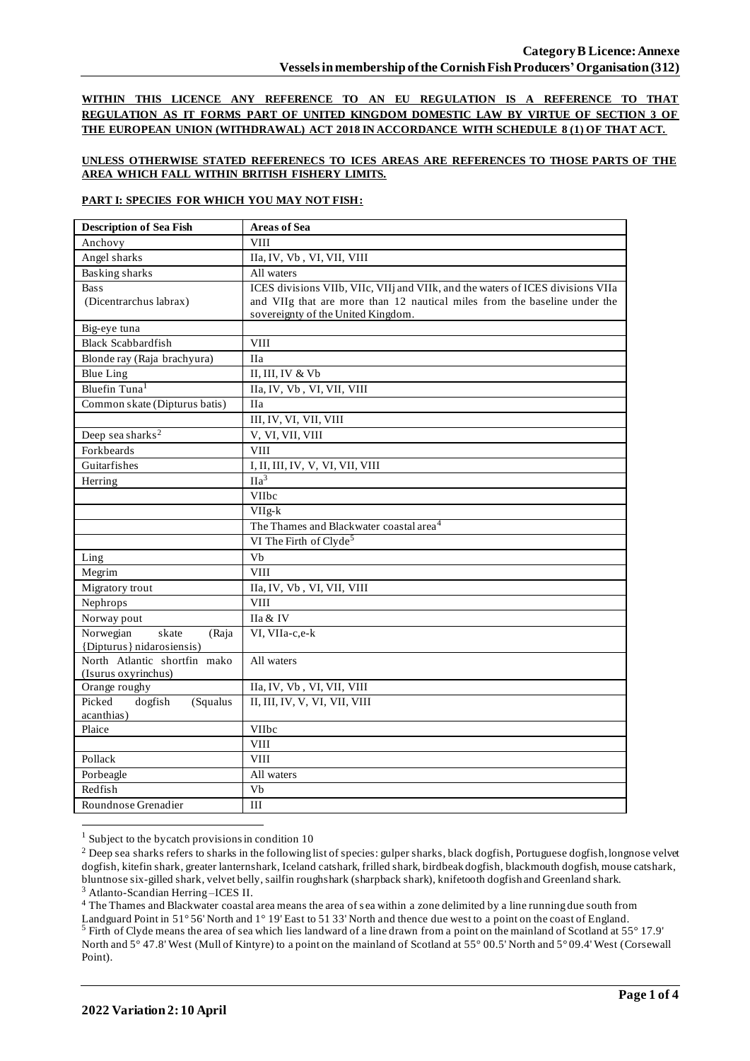**WITHIN THIS LICENCE ANY REFERENCE TO AN EU REGULATION IS A REFERENCE TO THAT REGULATION AS IT FORMS PART OF UNITED KINGDOM DOMESTIC LAW BY VIRTUE OF SECTION 3 OF THE EUROPEAN UNION (WITHDRAWAL) ACT 2018 IN ACCORDANCE WITH SCHEDULE 8 (1) OF THAT ACT.**

### **UNLESS OTHERWISE STATED REFERENECS TO ICES AREAS ARE REFERENCES TO THOSE PARTS OF THE AREA WHICH FALL WITHIN BRITISH FISHERY LIMITS.**

### **PART I: SPECIES FOR WHICH YOU MAY NOT FISH:**

| <b>Description of Sea Fish</b>    | <b>Areas of Sea</b>                                                             |
|-----------------------------------|---------------------------------------------------------------------------------|
| Anchovy                           | <b>VIII</b>                                                                     |
| Angel sharks                      | IIa, IV, Vb, VI, VII, VIII                                                      |
| <b>Basking sharks</b>             | All waters                                                                      |
| <b>Bass</b>                       | ICES divisions VIIb, VIIc, VIIj and VIIk, and the waters of ICES divisions VIIa |
| (Dicentrarchus labrax)            | and VIIg that are more than 12 nautical miles from the baseline under the       |
|                                   | sovereignty of the United Kingdom.                                              |
| Big-eye tuna                      |                                                                                 |
| <b>Black Scabbardfish</b>         | <b>VIII</b>                                                                     |
| Blonde ray (Raja brachyura)       | <b>IIa</b>                                                                      |
| <b>Blue Ling</b>                  | II, III, IV & Vb                                                                |
| Bluefin Tuna <sup>1</sup>         | IIa, IV, Vb, VI, VII, VIII                                                      |
| Common skate (Dipturus batis)     | <b>IIa</b>                                                                      |
|                                   | III, IV, VI, VII, VIII                                                          |
| Deep sea sharks <sup>2</sup>      | V, VI, VII, VIII                                                                |
| Forkbeards                        | <b>VIII</b>                                                                     |
| Guitarfishes                      | I, II, III, IV, V, VI, VII, VIII                                                |
| Herring                           | IIa <sup>3</sup>                                                                |
|                                   | VIIbc                                                                           |
|                                   | $VIIg-k$                                                                        |
|                                   | The Thames and Blackwater coastal area <sup>4</sup>                             |
|                                   | VI The Firth of Clyde <sup>5</sup>                                              |
| Ling                              | Vb                                                                              |
| Megrim                            | <b>VIII</b>                                                                     |
| Migratory trout                   | IIa, IV, Vb, VI, VII, VIII                                                      |
| Nephrops                          | <b>VIII</b>                                                                     |
| Norway pout                       | IIa & IV                                                                        |
| Norwegian<br>skate<br>(Raja       | VI, VIIa-c,e-k                                                                  |
| {Dipturus} nidarosiensis)         |                                                                                 |
| North Atlantic shortfin mako      | All waters                                                                      |
| (Isurus oxyrinchus)               |                                                                                 |
| Orange roughy<br>Picked           | IIa, IV, Vb, VI, VII, VIII<br>II, III, IV, V, VI, VII, VIII                     |
| dogfish<br>(Squalus<br>acanthias) |                                                                                 |
| Plaice                            | VIIbc                                                                           |
|                                   | <b>VIII</b>                                                                     |
| Pollack                           | <b>VIII</b>                                                                     |
| Porbeagle                         | All waters                                                                      |
| Redfish                           | Vb                                                                              |
| Roundnose Grenadier               | III                                                                             |
|                                   |                                                                                 |

 $1$  Subject to the bycatch provisions in condition 10

<sup>3</sup> Atlanto-Scandian Herring –ICES II.

<sup>4</sup> The Thames and Blackwater coastal area means the area of sea within a zone delimited by a line running due south from Landguard Point in 51° 56' North and 1° 19' East to 51 33' North and thence due west to a point on the coast of England. <sup>5</sup> Firth of Clyde means the area of sea which lies landward of a line drawn from a point on the mainland of Scotland at 55° 17.9' North and 5° 47.8' West (Mull of Kintyre) to a point on the mainland of Scotland at 55° 00.5' North and 5° 09.4' West (Corsewall Point).

<sup>&</sup>lt;sup>2</sup> Deep sea sharks refers to sharks in the following list of species: gulper sharks, black dogfish, Portuguese dogfish, longnose velvet dogfish, kitefin shark, greater lanternshark, Iceland catshark, frilled shark, birdbeak dogfish, blackmouth dogfish, mouse catshark, bluntnose six-gilled shark, velvet belly, sailfin roughshark (sharpback shark), knifetooth dogfish and Greenland shark.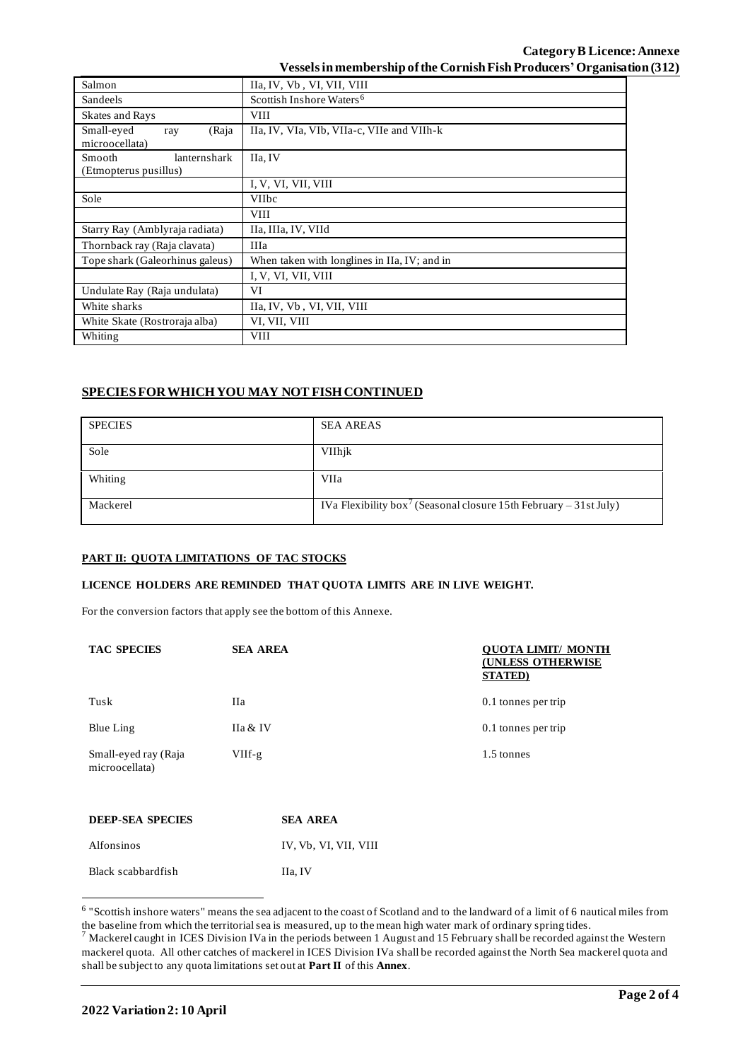## **Category B Licence: Annexe Vessels in membership of the Cornish Fish Producers'Organisation (312)**

| Salmon                                                 | IIa, IV, Vb, VI, VII, VIII                   |  |  |  |
|--------------------------------------------------------|----------------------------------------------|--|--|--|
| Sandeels                                               | Scottish Inshore Waters <sup>6</sup>         |  |  |  |
| <b>Skates and Rays</b>                                 | <b>VIII</b>                                  |  |  |  |
| Small-eyed<br>(Raja<br>ray<br>microocellata)           | IIa, IV, VIa, VIb, VIIa-c, VIIe and VIIh-k   |  |  |  |
| lanternshark<br><b>Smooth</b><br>(Etmopterus pusillus) | IIa, IV                                      |  |  |  |
|                                                        | I, V, VI, VII, VIII                          |  |  |  |
| Sole                                                   | <b>VIIbc</b>                                 |  |  |  |
|                                                        | <b>VIII</b>                                  |  |  |  |
| Starry Ray (Amblyraja radiata)                         | IIa, IIIa, IV, VIId                          |  |  |  |
| Thornback ray (Raja clavata)                           | <b>IIIa</b>                                  |  |  |  |
| Tope shark (Galeorhinus galeus)                        | When taken with longlines in IIa, IV; and in |  |  |  |
|                                                        | I, V, VI, VII, VIII                          |  |  |  |
| Undulate Ray (Raja undulata)                           | VI                                           |  |  |  |
| White sharks                                           | IIa, IV, Vb, VI, VII, VIII                   |  |  |  |
| White Skate (Rostroraja alba)                          | VI, VII, VIII                                |  |  |  |
| Whiting                                                | <b>VIII</b>                                  |  |  |  |

# **SPECIES FOR WHICH YOU MAY NOT FISH CONTINUED**

| <b>SPECIES</b> | <b>SEA AREAS</b>                                                              |
|----------------|-------------------------------------------------------------------------------|
| Sole           | VIIhjk                                                                        |
| Whiting        | VIIa                                                                          |
| Mackerel       | IVa Flexibility box <sup>7</sup> (Seasonal closure 15th February – 31st July) |

### **PART II: QUOTA LIMITATIONS OF TAC STOCKS**

## **LICENCE HOLDERS ARE REMINDED THAT QUOTA LIMITS ARE IN LIVE WEIGHT.**

For the conversion factors that apply see the bottom of this Annexe.

| <b>TAC SPECIES</b>                     | <b>SEA AREA</b> |                       | <b>OUOTA LIMIT/ MONTH</b><br><b>(UNLESS OTHERWISE</b><br><b>STATED</b> ) |
|----------------------------------------|-----------------|-----------------------|--------------------------------------------------------------------------|
| Tusk                                   | Ha              |                       | 0.1 tonnes per trip                                                      |
| Blue Ling                              | IIa & IV        |                       | 0.1 tonnes per trip                                                      |
| Small-eyed ray (Raja<br>microocellata) | $VIIf-g$        |                       | 1.5 tonnes                                                               |
| <b>DEEP-SEA SPECIES</b>                |                 | <b>SEA AREA</b>       |                                                                          |
| Alfonsinos                             |                 | IV, Vb, VI, VII, VIII |                                                                          |

Black scabbardfish IIa, IV

<sup>&</sup>lt;sup>6</sup> "Scottish inshore waters" means the sea adjacent to the coast of Scotland and to the landward of a limit of 6 nautical miles from the baseline from which the territorial sea is measured, up to the mean high water mark of ordinary spring tides.

 $^7$  Mackerel caught in ICES Division IVa in the periods between 1 August and 15 February shall be recorded against the Western mackerel quota. All other catches of mackerel in ICES Division IVa shall be recorded against the North Sea mackerel quota and shall be subject to any quota limitations set out at **Part II** of this **Annex**.